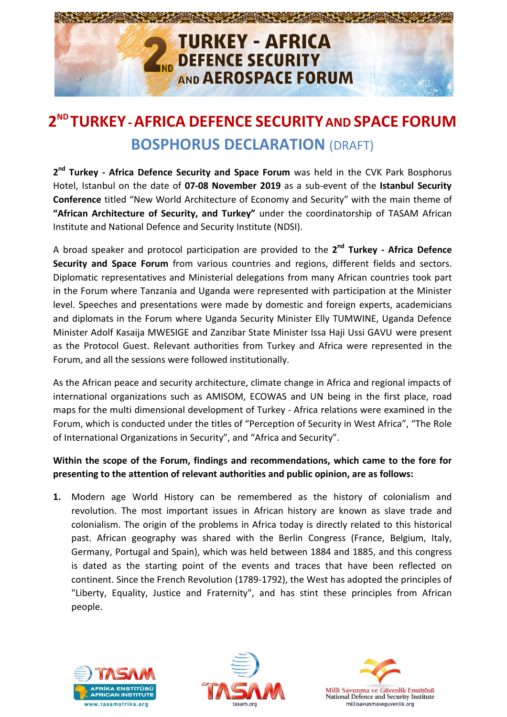

## **2 ND TURKEY-AFRICA DEFENCE SECURITYAND SPACE FORUM BOSPHORUS DECLARATION** (DRAFT)

**2 nd Turkey - Africa Defence Security and Space Forum** was held in the CVK Park Bosphorus Hotel, Istanbul on the date of **07-08 November 2019** as a sub-event of the **Istanbul Security Conference** titled "New World Architecture of Economy and Security" with the main theme of **"African Architecture of Security, and Turkey"** under the coordinatorship of TASAM African Institute and National Defence and Security Institute (NDSI).

A broad speaker and protocol participation are provided to the **2 nd Turkey - Africa Defence Security and Space Forum** from various countries and regions, different fields and sectors. Diplomatic representatives and Ministerial delegations from many African countries took part in the Forum where Tanzania and Uganda were represented with participation at the Minister level. Speeches and presentations were made by domestic and foreign experts, academicians and diplomats in the Forum where Uganda Security Minister Elly TUMWINE, Uganda Defence Minister Adolf Kasaija MWESIGE and Zanzibar State Minister Issa Haji Ussi GAVU were present as the Protocol Guest. Relevant authorities from Turkey and Africa were represented in the Forum, and all the sessions were followed institutionally.

As the African peace and security architecture, climate change in Africa and regional impacts of international organizations such as AMISOM, ECOWAS and UN being in the first place, road maps for the multi dimensional development of Turkey - Africa relations were examined in the Forum, which is conducted under the titles of "Perception of Security in West Africa", "The Role of International Organizations in Security", and "Africa and Security".

## **Within the scope of the Forum, findings and recommendations, which came to the fore for presenting to the attention of relevant authorities and public opinion, are as follows:**

**1.** Modern age World History can be remembered as the history of colonialism and revolution. The most important issues in African history are known as slave trade and colonialism. The origin of the problems in Africa today is directly related to this historical past. African geography was shared with the Berlin Congress (France, Belgium, Italy, Germany, Portugal and Spain), which was held between 1884 and 1885, and this congress is dated as the starting point of the events and traces that have been reflected on continent. Since the French Revolution (1789-1792), the West has adopted the principles of "Liberty, Equality, Justice and Fraternity", and has stint these principles from African people.





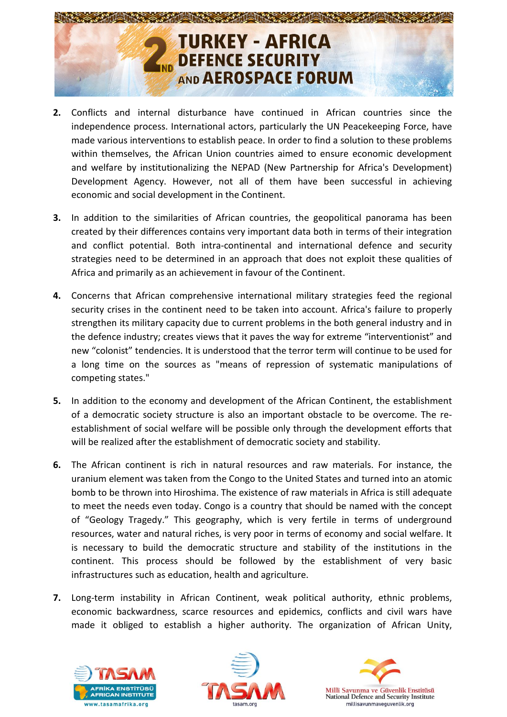

- **2.** Conflicts and internal disturbance have continued in African countries since the independence process. International actors, particularly the UN Peacekeeping Force, have made various interventions to establish peace. In order to find a solution to these problems within themselves, the African Union countries aimed to ensure economic development and welfare by institutionalizing the NEPAD (New Partnership for Africa's Development) Development Agency. However, not all of them have been successful in achieving economic and social development in the Continent.
- **3.** In addition to the similarities of African countries, the geopolitical panorama has been created by their differences contains very important data both in terms of their integration and conflict potential. Both intra-continental and international defence and security strategies need to be determined in an approach that does not exploit these qualities of Africa and primarily as an achievement in favour of the Continent.
- **4.** Concerns that African comprehensive international military strategies feed the regional security crises in the continent need to be taken into account. Africa's failure to properly strengthen its military capacity due to current problems in the both general industry and in the defence industry; creates views that it paves the way for extreme "interventionist" and new "colonist" tendencies. It is understood that the terror term will continue to be used for a long time on the sources as "means of repression of systematic manipulations of competing states."
- **5.** In addition to the economy and development of the African Continent, the establishment of a democratic society structure is also an important obstacle to be overcome. The reestablishment of social welfare will be possible only through the development efforts that will be realized after the establishment of democratic society and stability.
- **6.** The African continent is rich in natural resources and raw materials. For instance, the uranium element was taken from the Congo to the United States and turned into an atomic bomb to be thrown into Hiroshima. The existence of raw materials in Africa is still adequate to meet the needs even today. Congo is a country that should be named with the concept of "Geology Tragedy." This geography, which is very fertile in terms of underground resources, water and natural riches, is very poor in terms of economy and social welfare. It is necessary to build the democratic structure and stability of the institutions in the continent. This process should be followed by the establishment of very basic infrastructures such as education, health and agriculture.
- **7.** Long-term instability in African Continent, weak political authority, ethnic problems, economic backwardness, scarce resources and epidemics, conflicts and civil wars have made it obliged to establish a higher authority. The organization of African Unity,





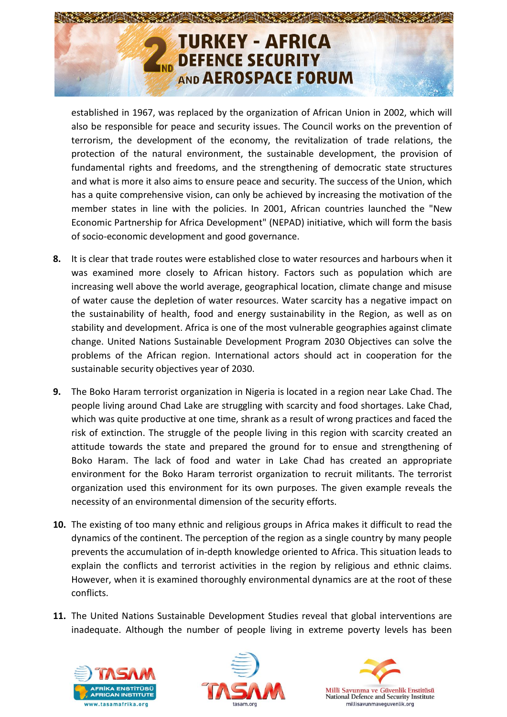

established in 1967, was replaced by the organization of African Union in 2002, which will also be responsible for peace and security issues. The Council works on the prevention of terrorism, the development of the economy, the revitalization of trade relations, the protection of the natural environment, the sustainable development, the provision of fundamental rights and freedoms, and the strengthening of democratic state structures and what is more it also aims to ensure peace and security. The success of the Union, which has a quite comprehensive vision, can only be achieved by increasing the motivation of the member states in line with the policies. In 2001, African countries launched the "New Economic Partnership for Africa Development" (NEPAD) initiative, which will form the basis of socio-economic development and good governance.

- **8.** It is clear that trade routes were established close to water resources and harbours when it was examined more closely to African history. Factors such as population which are increasing well above the world average, geographical location, climate change and misuse of water cause the depletion of water resources. Water scarcity has a negative impact on the sustainability of health, food and energy sustainability in the Region, as well as on stability and development. Africa is one of the most vulnerable geographies against climate change. United Nations Sustainable Development Program 2030 Objectives can solve the problems of the African region. International actors should act in cooperation for the sustainable security objectives year of 2030.
- **9.** The Boko Haram terrorist organization in Nigeria is located in a region near Lake Chad. The people living around Chad Lake are struggling with scarcity and food shortages. Lake Chad, which was quite productive at one time, shrank as a result of wrong practices and faced the risk of extinction. The struggle of the people living in this region with scarcity created an attitude towards the state and prepared the ground for to ensue and strengthening of Boko Haram. The lack of food and water in Lake Chad has created an appropriate environment for the Boko Haram terrorist organization to recruit militants. The terrorist organization used this environment for its own purposes. The given example reveals the necessity of an environmental dimension of the security efforts.
- **10.** The existing of too many ethnic and religious groups in Africa makes it difficult to read the dynamics of the continent. The perception of the region as a single country by many people prevents the accumulation of in-depth knowledge oriented to Africa. This situation leads to explain the conflicts and terrorist activities in the region by religious and ethnic claims. However, when it is examined thoroughly environmental dynamics are at the root of these conflicts.
- **11.** The United Nations Sustainable Development Studies reveal that global interventions are inadequate. Although the number of people living in extreme poverty levels has been





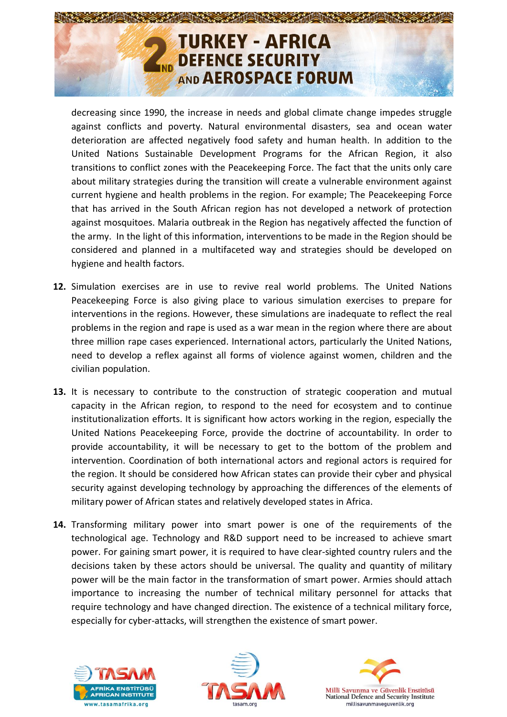

decreasing since 1990, the increase in needs and global climate change impedes struggle against conflicts and poverty. Natural environmental disasters, sea and ocean water deterioration are affected negatively food safety and human health. In addition to the United Nations Sustainable Development Programs for the African Region, it also transitions to conflict zones with the Peacekeeping Force. The fact that the units only care about military strategies during the transition will create a vulnerable environment against current hygiene and health problems in the region. For example; The Peacekeeping Force that has arrived in the South African region has not developed a network of protection against mosquitoes. Malaria outbreak in the Region has negatively affected the function of the army. In the light of this information, interventions to be made in the Region should be considered and planned in a multifaceted way and strategies should be developed on hygiene and health factors.

- **12.** Simulation exercises are in use to revive real world problems. The United Nations Peacekeeping Force is also giving place to various simulation exercises to prepare for interventions in the regions. However, these simulations are inadequate to reflect the real problems in the region and rape is used as a war mean in the region where there are about three million rape cases experienced. International actors, particularly the United Nations, need to develop a reflex against all forms of violence against women, children and the civilian population.
- **13.** It is necessary to contribute to the construction of strategic cooperation and mutual capacity in the African region, to respond to the need for ecosystem and to continue institutionalization efforts. It is significant how actors working in the region, especially the United Nations Peacekeeping Force, provide the doctrine of accountability. In order to provide accountability, it will be necessary to get to the bottom of the problem and intervention. Coordination of both international actors and regional actors is required for the region. It should be considered how African states can provide their cyber and physical security against developing technology by approaching the differences of the elements of military power of African states and relatively developed states in Africa.
- **14.** Transforming military power into smart power is one of the requirements of the technological age. Technology and R&D support need to be increased to achieve smart power. For gaining smart power, it is required to have clear-sighted country rulers and the decisions taken by these actors should be universal. The quality and quantity of military power will be the main factor in the transformation of smart power. Armies should attach importance to increasing the number of technical military personnel for attacks that require technology and have changed direction. The existence of a technical military force, especially for cyber-attacks, will strengthen the existence of smart power.